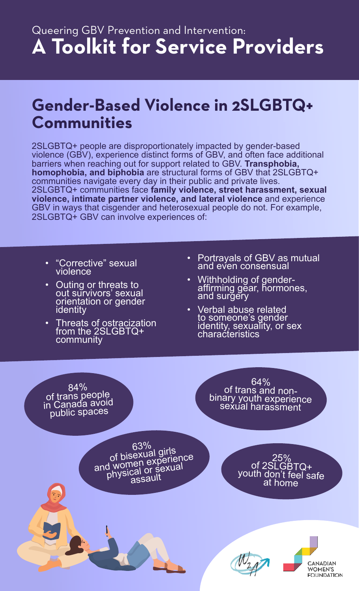# **Gender-Based Violence in 2SLGBTQ+ Communities**

2SLGBTQ+ people are disproportionately impacted by gender-based violence (GBV), experience distinct forms of GBV, and often face additional barriers when reaching out for support related to GBV. **Transphobia, homophobia, and biphobia** are structural forms of GBV that 2SLGBTQ+ communities navigate every day in their public and private lives. 2SLGBTQ+ communities face **family violence, street harassment, sexual violence, intimate partner violence, and lateral violence** and experience GBV in ways that cisgender and heterosexual people do not. For example, 2SLGBTQ+ GBV can involve experiences of:

- "Corrective" sexual violence
- Outing or threats to out survivors' sexual orientation or gender identity
- Threats of ostracization from the 2SLGBTQ+ community
- Portrayals of GBV as mutual and even consensual
- Withholding of genderaffirming gĕar, hormones, and surgery
- Verbal abuse related to someone's gender identity, sexuality, or sex characteristics

84%<br>
of trans people<br>
in Canada avoid<br>
public spaces  $63\%$  .

64% of trans and nonbinary youth experience sexual harassment

of bisexual girls of pisexual serience<br>and women experience<br>and world or sexual d women expexual<br>physical or sexual assault

201

25% of 2SLGBTQ+ youth don't feel safe at home

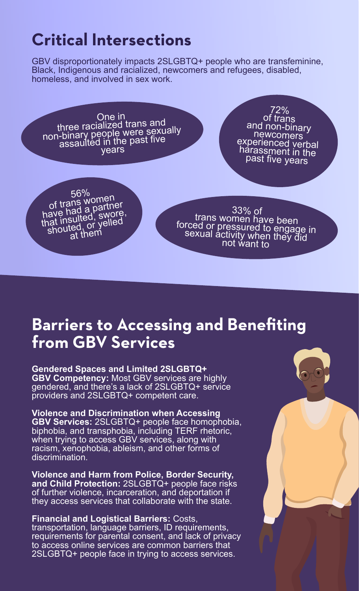# **Critical Intersections**

GBV disproportionately impacts 2SLGBTQ+ people who are transfeminine, Black, Indigenous and racialized, newcomers and refugees, disabled, homeless, and involved in sex work.

One in<br>three racialized trans and<br>non-binary people were sexually<br>assaulted in the past five<br>vears 56% of trans women of trails we partner<br>have had a partner have hay a swore,<br>that insulted, swore, at insulted, yelled<br>shouted, or yelled at them 72% of trans and non-binary newcomers experienced verbal harassment in the past five years 33% of trans women have been forced or pressured to engage in sexual activity when they did not want to

## **Barriers to Accessing and Benefiting from GBV Services**

**Gendered Spaces and Limited 2SLGBTQ+ GBV Competency:** Most GBV services are highly gendered, and there's a lack of 2SLGBTQ+ service providers and 2SLGBTQ+ competent care.

**Violence and Discrimination when Accessing GBV Services:** 2SLGBTQ+ people face homophobia, biphobia, and transphobia, including TERF rhetoric, when trying to access GBV services, along with racism, xenophobia, ableism, and other forms of discrimination.

**Violence and Harm from Police, Border Security, and Child Protection:** 2SLGBTQ+ people face risks of further violence, incarceration, and deportation if they access services that collaborate with the state.

**Financial and Logistical Barriers:** Costs, transportation, language barriers, ID requirements, requirements for parental consent, and lack of privacy to access online services are common barriers that 2SLGBTQ+ people face in trying to access services.

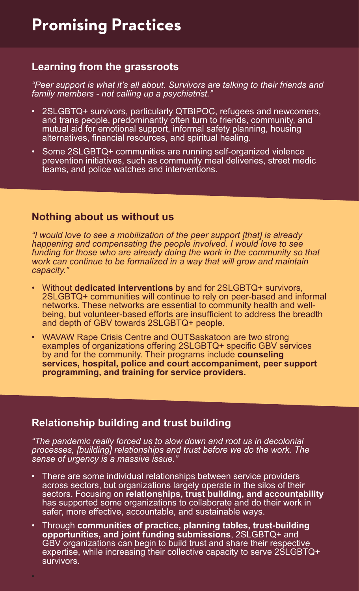### **Learning from the grassroots**

*"Peer support is what it's all about. Survivors are talking to their friends and family members - not calling up a psychiatrist."* 

- 2SLGBTQ+ survivors, particularly QTBIPOC, refugees and newcomers, and trans people, predominantly often turn to friends, community, and mutual aid for emotional support, informal safety planning, housing alternatives, financial resources, and spiritual healing.
- Some 2SLGBTQ+ communities are running self-organized violence prevention initiatives, such as community meal deliveries, street medic teams, and police watches and interventions.

### **Nothing about us without us**

*"I would love to see a mobilization of the peer support [that] is already happening and compensating the people involved. I would love to see*  funding for those who are already doing the work in the community so that *work can continue to be formalized in a way that will grow and maintain capacity."*

- Without **dedicated interventions** by and for 2SLGBTQ+ survivors, 2SLGBTQ+ communities will continue to rely on peer-based and informal networks. These networks are essential to community health and wellbeing, but volunteer-based efforts are insufficient to address the breadth and depth of GBV towards 2SLGBTQ+ people.
- WAVAW Rape Crisis Centre and OUTSaskatoon are two strong examples of organizations offering 2SLGBTQ+ specific GBV services by and for the community. Their programs include **counseling services, hospital, police and court accompaniment, peer support programming, and training for service providers.**

### **Relationship building and trust building**

•

*"The pandemic really forced us to slow down and root us in decolonial processes, [building] relationships and trust before we do the work. The sense of urgency is a massive issue."*

- There are some individual relationships between service providers across sectors, but organizations largely operate in the silos of their sectors. Focusing on **relationships, trust building, and accountability** has supported some organizations to collaborate and do their work in safer, more effective, accountable, and sustainable ways.
- Through **communities of practice, planning tables, trust-building opportunities, and joint funding submissions**, 2SLGBTQ+ and GBV organizations can begin to build trust and share their respective expertise, while increasing their collective capacity to serve 2SLGBTQ+ survivors.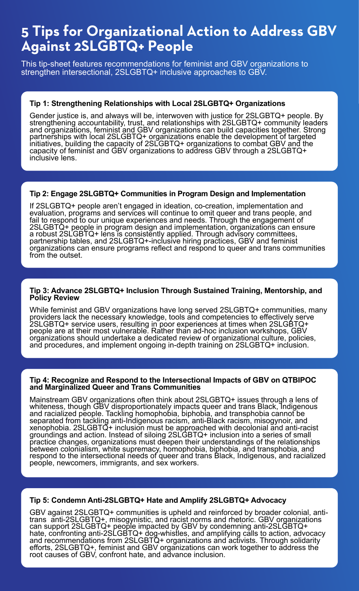## **5 Tips for Organizational Action to Address GBV Against 2SLGBTQ+ People**

This tip-sheet features recommendations for feminist and GBV organizations to strengthen intersectional, 2SLGBTQ+ inclusive approaches to GBV.

#### **Tip 1: Strengthening Relationships with Local 2SLGBTQ+ Organizations**

Gender justice is, and always will be, interwoven with justice for 2SLGBTQ+ people. By strengthening accountability, trust, and relationships with 2SLGBTQ+ community leaders and organizations, feminist and GBV organizations can build capacities together. Strong partnerships with local 2SLGBTQ+ organizations enable the development of targeted initiatives, building the capacity of 2SLGBTQ+ organizations to combat GBV and the capacity of feminist and GBV organizations to address GBV through a 2SLGBTQ+ inclusive lens.

#### **Tip 2: Engage 2SLGBTQ+ Communities in Program Design and Implementation**

If 2SLGBTQ+ people aren't engaged in ideation, co-creation, implementation and evaluation, programs and services will continue to omit queer and trans people, and fail to respond to our unique experiences and needs. Through the engagement of 2SLGBTQ+ people in program design and implementation, organizations can ensure a robust 2SLGBTQ+ lens is consistently applied. Through advisory committees, partnership tables, and 2SLGBTQ+-inclusive hiring practices, GBV and feminist organizations can ensure programs reflect and respond to queer and trans communities from the outset.

#### **Tip 3: Advance 2SLGBTQ+ Inclusion Through Sustained Training, Mentorship, and Policy Review**

While feminist and GBV organizations have long served 2SLGBTQ+ communities, many providers lack the necessary knowledge, tools and competencies to effectively serve 2SLGBTQ+ service users, resulting in poor experiences at times when 2SLGBTQ+ people are at their most vulnerable. Rather than ad-hoc inclusion workshops, GBV organizations should undertake a dedicated review of organizational culture, policies, and procedures, and implement ongoing in-depth training on 2SLGBTQ+ inclusion.

#### **Tip 4: Recognize and Respond to the Intersectional Impacts of GBV on QTBIPOC and Marginalized Queer and Trans Communities**

Mainstream GBV organizations often think about 2SLGBTQ+ issues through a lens of whiteness, though GBV disproportionately impacts queer and trans Black, Indigenous and racialized people. Tackling homophobia, biphobia, and transphobia cannot be separated from tackling anti-Indigenous racism, anti-Black racism, misogynoir, and xenophobia. 2SLGBTQ+ inclusion must be approached with decolonial and anti-racist groundings and action. Instead of siloing 2SLGBTQ+ inclusion into a series of small practice changes, organizations must deepen their understandings of the relationships between colonialism, white supremacy, homophobia, biphobia, and transphobia, and respond to the intersectional needs of queer and trans Black, Indigenous, and racialized people, newcomers, immigrants, and sex workers.

#### **Tip 5: Condemn Anti-2SLGBTQ+ Hate and Amplify 2SLGBTQ+ Advocacy**

GBV against 2SLGBTQ+ communities is upheld and reinforced by broader colonial, antitrans anti-2SLGBTQ+, misogynistic, and racist norms and rhetoric. GBV organizations can support 2SLGBTQ+ people impacted by GBV by condemning anti-2SLGBTQ+ hate, confronting anti-2SLGBTQ+ dog-whistles, and amplifying calls to action, advocacy and recommendations from 2SLGBTQ+ organizations and activists. Through solidarity efforts, 2SLGBTQ+, feminist and GBV organizations can work together to address the root causes of GBV, confront hate, and advance inclusion.